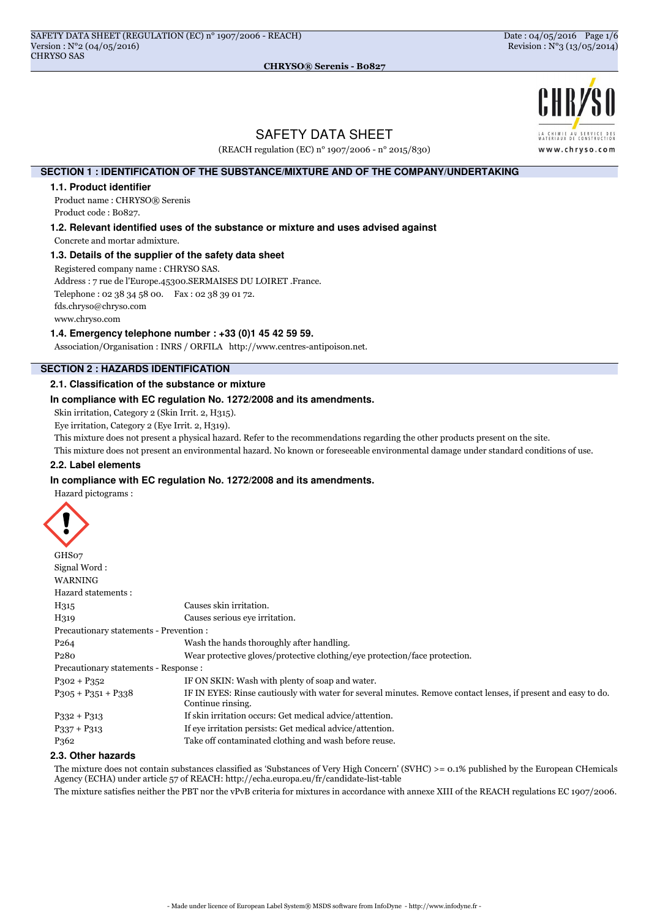

# SAFETY DATA SHEET

(REACH regulation (EC) n° 1907/2006 - n° 2015/830)

# **SECTION 1 : IDENTIFICATION OF THE SUBSTANCE/MIXTURE AND OF THE COMPANY/UNDERTAKING**

#### **1.1. Product identifier**

Product name : CHRYSO® Serenis Product code : B0827.

**1.2. Relevant identified uses of the substance or mixture and uses advised against**

Concrete and mortar admixture.

### **1.3. Details of the supplier of the safety data sheet**

Registered company name : CHRYSO SAS.

Address : 7 rue de l'Europe.45300.SERMAISES DU LOIRET .France.

Telephone : 02 38 34 58 00. Fax : 02 38 39 01 72.

fds.chryso@chryso.com

www.chryso.com

### **1.4. Emergency telephone number : +33 (0)1 45 42 59 59.**

Association/Organisation : INRS / ORFILA http://www.centres-antipoison.net.

# **SECTION 2 : HAZARDS IDENTIFICATION**

### **2.1. Classification of the substance or mixture**

### **In compliance with EC regulation No. 1272/2008 and its amendments.**

Skin irritation, Category 2 (Skin Irrit. 2, H315).

Eye irritation, Category 2 (Eye Irrit. 2, H319).

This mixture does not present a physical hazard. Refer to the recommendations regarding the other products present on the site.

This mixture does not present an environmental hazard. No known or foreseeable environmental damage under standard conditions of use.

# **2.2. Label elements**

#### **In compliance with EC regulation No. 1272/2008 and its amendments.**

Hazard pictograms :



| GHS07                                   |                                                                                                                                     |
|-----------------------------------------|-------------------------------------------------------------------------------------------------------------------------------------|
| Signal Word:                            |                                                                                                                                     |
| <b>WARNING</b>                          |                                                                                                                                     |
| Hazard statements :                     |                                                                                                                                     |
| H315                                    | Causes skin irritation.                                                                                                             |
| H319                                    | Causes serious eye irritation.                                                                                                      |
| Precautionary statements - Prevention : |                                                                                                                                     |
| P <sub>264</sub>                        | Wash the hands thoroughly after handling.                                                                                           |
| P <sub>2</sub> 80                       | Wear protective gloves/protective clothing/eye protection/face protection.                                                          |
| Precautionary statements - Response :   |                                                                                                                                     |
| $P302 + P352$                           | IF ON SKIN: Wash with plenty of soap and water.                                                                                     |
| $P305 + P351 + P338$                    | IF IN EYES: Rinse cautiously with water for several minutes. Remove contact lenses, if present and easy to do.<br>Continue rinsing. |
| $P332 + P313$                           | If skin irritation occurs: Get medical advice/attention.                                                                            |
| $P337 + P313$                           | If eve irritation persists: Get medical advice/attention.                                                                           |
| P <sub>362</sub>                        | Take off contaminated clothing and wash before reuse.                                                                               |

### **2.3. Other hazards**

The mixture does not contain substances classified as 'Substances of Very High Concern' (SVHC) >= 0.1% published by the European CHemicals Agency (ECHA) under article 57 of REACH: http://echa.europa.eu/fr/candidate-list-table

The mixture satisfies neither the PBT nor the vPvB criteria for mixtures in accordance with annexe XIII of the REACH regulations EC 1907/2006.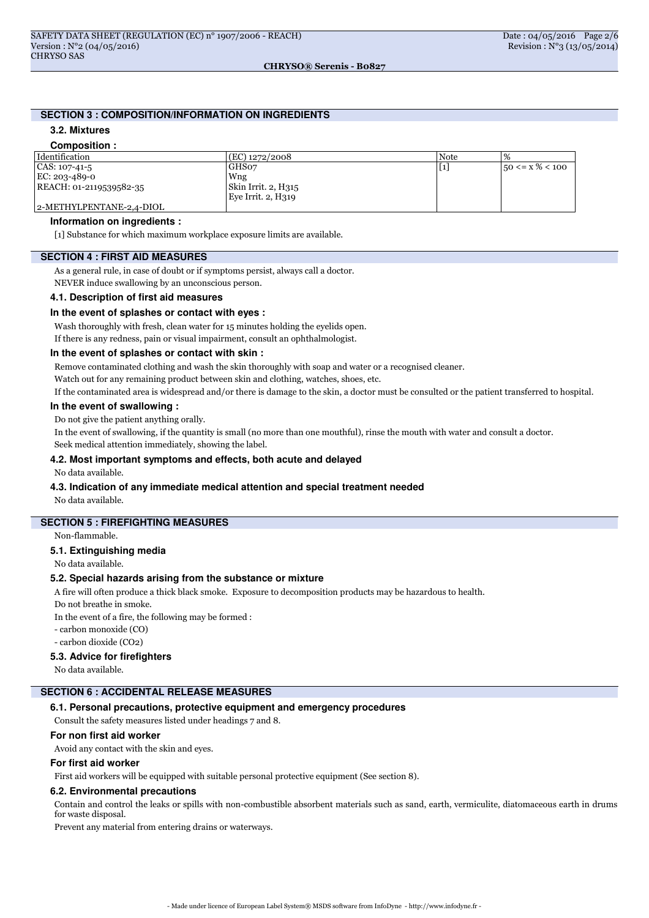# **SECTION 3 : COMPOSITION/INFORMATION ON INGREDIENTS**

# **3.2. Mixtures**

#### **Composition :** Identification (EC) 1272/2008 Note % CAS: 107-41-5 EC: 203-489-0 REACH: 01-2119539582-35 2-METHYLPENTANE-2,4-DIOL GHS07 Wng Skin Irrit. 2, H315 Eye Irrit. 2, H319  $[1]$   $\qquad$   $\qquad$   $\begin{array}{c} 50 \leq x \leq 100 \end{array}$

# **Information on ingredients :**

[1] Substance for which maximum workplace exposure limits are available.

# **SECTION 4 : FIRST AID MEASURES**

As a general rule, in case of doubt or if symptoms persist, always call a doctor.

NEVER induce swallowing by an unconscious person.

# **4.1. Description of first aid measures**

#### **In the event of splashes or contact with eyes :**

Wash thoroughly with fresh, clean water for 15 minutes holding the eyelids open. If there is any redness, pain or visual impairment, consult an ophthalmologist.

#### **In the event of splashes or contact with skin :**

Remove contaminated clothing and wash the skin thoroughly with soap and water or a recognised cleaner.

Watch out for any remaining product between skin and clothing, watches, shoes, etc.

If the contaminated area is widespread and/or there is damage to the skin, a doctor must be consulted or the patient transferred to hospital.

#### **In the event of swallowing :**

Do not give the patient anything orally.

In the event of swallowing, if the quantity is small (no more than one mouthful), rinse the mouth with water and consult a doctor.

Seek medical attention immediately, showing the label.

# **4.2. Most important symptoms and effects, both acute and delayed**

No data available.

#### **4.3. Indication of any immediate medical attention and special treatment needed**

No data available.

# **SECTION 5 : FIREFIGHTING MEASURES**

Non-flammable.

#### **5.1. Extinguishing media**

No data available.

### **5.2. Special hazards arising from the substance or mixture**

A fire will often produce a thick black smoke. Exposure to decomposition products may be hazardous to health.

Do not breathe in smoke.

In the event of a fire, the following may be formed :

- carbon monoxide (CO)

- carbon dioxide (CO2)

#### **5.3. Advice for firefighters**

No data available.

# **SECTION 6 : ACCIDENTAL RELEASE MEASURES**

# **6.1. Personal precautions, protective equipment and emergency procedures**

Consult the safety measures listed under headings 7 and 8.

### **For non first aid worker**

Avoid any contact with the skin and eyes.

# **For first aid worker**

First aid workers will be equipped with suitable personal protective equipment (See section 8).

#### **6.2. Environmental precautions**

Contain and control the leaks or spills with non-combustible absorbent materials such as sand, earth, vermiculite, diatomaceous earth in drums for waste disposal.

Prevent any material from entering drains or waterways.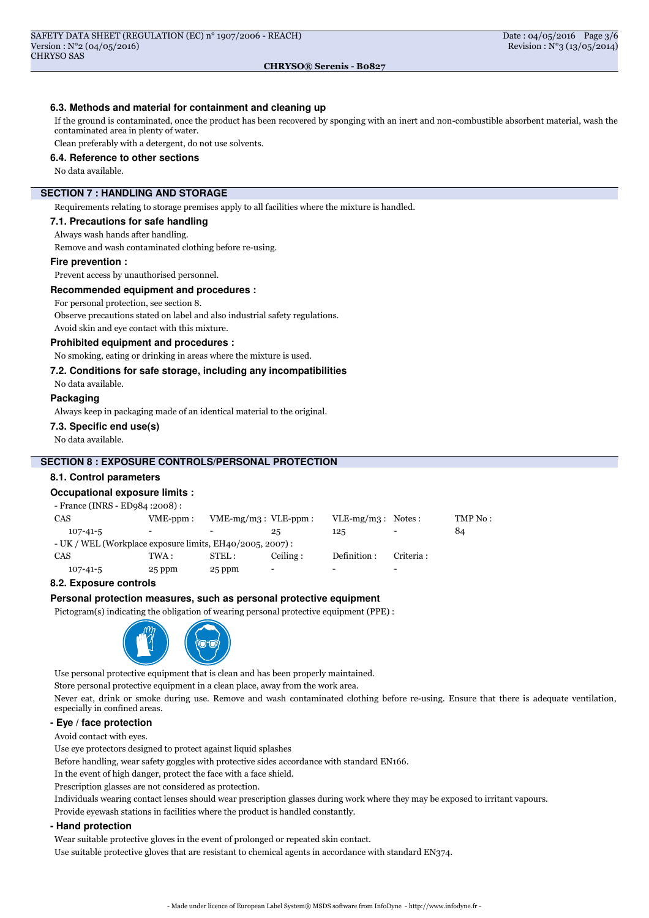# **6.3. Methods and material for containment and cleaning up**

If the ground is contaminated, once the product has been recovered by sponging with an inert and non-combustible absorbent material, wash the contaminated area in plenty of water.

Clean preferably with a detergent, do not use solvents.

### **6.4. Reference to other sections**

No data available.

# **SECTION 7 : HANDLING AND STORAGE**

Requirements relating to storage premises apply to all facilities where the mixture is handled.

### **7.1. Precautions for safe handling**

Always wash hands after handling.

Remove and wash contaminated clothing before re-using.

#### **Fire prevention :**

Prevent access by unauthorised personnel.

#### **Recommended equipment and procedures :**

For personal protection, see section 8.

Observe precautions stated on label and also industrial safety regulations. Avoid skin and eye contact with this mixture.

**Prohibited equipment and procedures :**

No smoking, eating or drinking in areas where the mixture is used.

#### **7.2. Conditions for safe storage, including any incompatibilities**

No data available.

### **Packaging**

Always keep in packaging made of an identical material to the original.

#### **7.3. Specific end use(s)**

No data available.

# **SECTION 8 : EXPOSURE CONTROLS/PERSONAL PROTECTION**

#### **8.1. Control parameters**

#### **Occupational exposure limits :**

| - France (INRS - ED984 : 2008) :                            |            |                           |                          |                          |                          |         |
|-------------------------------------------------------------|------------|---------------------------|--------------------------|--------------------------|--------------------------|---------|
| <b>CAS</b>                                                  | $VME-ppm:$ | $VME-mg/m3$ : $VLE-ppm$ : |                          | $VLE-mg/m3$ : Notes:     |                          | TMP No: |
| $107 - 41 - 5$                                              |            |                           | 25                       | 125                      |                          | 84      |
| $- UK / WEL (Workplace exposure limits, EH40/2005, 2007)$ : |            |                           |                          |                          |                          |         |
| <b>CAS</b>                                                  | TWA :      | STEL:                     | Ceiling:                 | Definition:              | Criteria :               |         |
| $107 - 41 - 5$                                              | 25 ppm     | 25 ppm                    | $\overline{\phantom{a}}$ | $\overline{\phantom{0}}$ | $\overline{\phantom{0}}$ |         |

#### **8.2. Exposure controls**

#### **Personal protection measures, such as personal protective equipment**

Pictogram(s) indicating the obligation of wearing personal protective equipment (PPE) :



Use personal protective equipment that is clean and has been properly maintained. Store personal protective equipment in a clean place, away from the work area. Never eat, drink or smoke during use. Remove and wash contaminated clothing before re-using. Ensure that there is adequate ventilation, especially in confined areas.

### **- Eye / face protection**

Avoid contact with eyes.

Use eye protectors designed to protect against liquid splashes

Before handling, wear safety goggles with protective sides accordance with standard EN166.

In the event of high danger, protect the face with a face shield.

Prescription glasses are not considered as protection.

Individuals wearing contact lenses should wear prescription glasses during work where they may be exposed to irritant vapours.

Provide eyewash stations in facilities where the product is handled constantly.

#### **- Hand protection**

Wear suitable protective gloves in the event of prolonged or repeated skin contact.

Use suitable protective gloves that are resistant to chemical agents in accordance with standard EN374.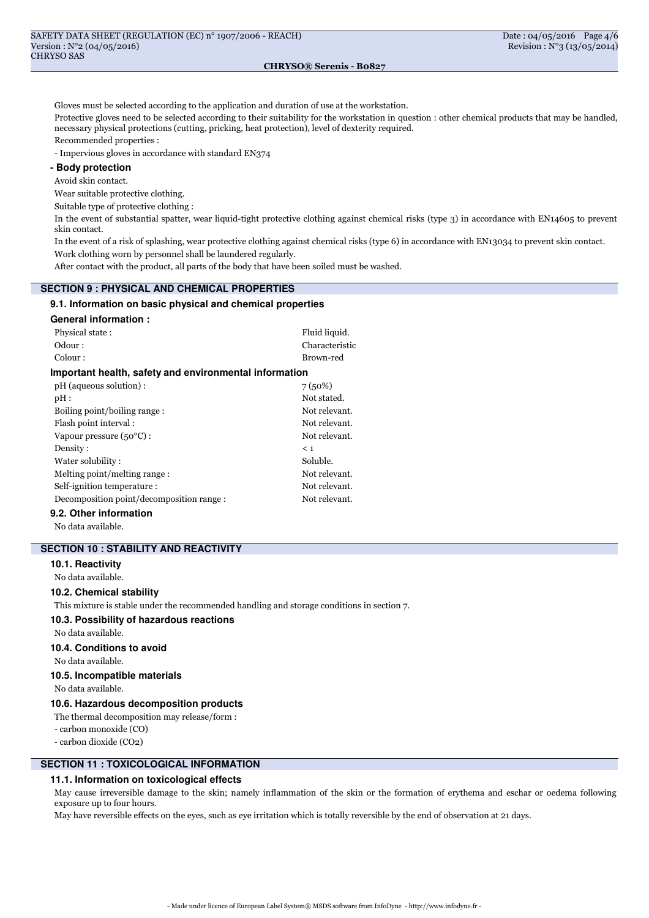Gloves must be selected according to the application and duration of use at the workstation.

Protective gloves need to be selected according to their suitability for the workstation in question : other chemical products that may be handled, necessary physical protections (cutting, pricking, heat protection), level of dexterity required.

Recommended properties :

- Impervious gloves in accordance with standard EN374

# **- Body protection**

Avoid skin contact.

Wear suitable protective clothing.

Suitable type of protective clothing :

In the event of substantial spatter, wear liquid-tight protective clothing against chemical risks (type 3) in accordance with EN14605 to prevent skin contact.

In the event of a risk of splashing, wear protective clothing against chemical risks (type 6) in accordance with EN13034 to prevent skin contact. Work clothing worn by personnel shall be laundered regularly.

After contact with the product, all parts of the body that have been soiled must be washed.

### **SECTION 9 : PHYSICAL AND CHEMICAL PROPERTIES**

# **9.1. Information on basic physical and chemical properties**

#### **General information :**

| Physical state:                                        | Fluid liquid.  |  |  |  |
|--------------------------------------------------------|----------------|--|--|--|
| Odour:                                                 | Characteristic |  |  |  |
| Colour:                                                | Brown-red      |  |  |  |
| Important health, safety and environmental information |                |  |  |  |
| pH (aqueous solution):                                 | 7(50%)         |  |  |  |
| pH:                                                    | Not stated.    |  |  |  |
| Boiling point/boiling range:                           | Not relevant.  |  |  |  |
| Flash point interval:                                  | Not relevant.  |  |  |  |
| Vapour pressure $(50^{\circ}$ C) :                     | Not relevant.  |  |  |  |
| Density:                                               | < 1            |  |  |  |
| Water solubility:                                      | Soluble.       |  |  |  |
| Melting point/melting range:                           | Not relevant.  |  |  |  |
| Self-ignition temperature:                             | Not relevant.  |  |  |  |
| Decomposition point/decomposition range:               | Not relevant.  |  |  |  |
| .                                                      |                |  |  |  |

# **9.2. Other information**

No data available.

# **SECTION 10 : STABILITY AND REACTIVITY**

# **10.1. Reactivity**

No data available.

# **10.2. Chemical stability**

This mixture is stable under the recommended handling and storage conditions in section 7.

#### **10.3. Possibility of hazardous reactions**

No data available.

#### **10.4. Conditions to avoid**

No data available.

# **10.5. Incompatible materials**

No data available.

# **10.6. Hazardous decomposition products**

The thermal decomposition may release/form :

- carbon monoxide (CO)

- carbon dioxide (CO2)

# **SECTION 11 : TOXICOLOGICAL INFORMATION**

#### **11.1. Information on toxicological effects**

May cause irreversible damage to the skin; namely inflammation of the skin or the formation of erythema and eschar or oedema following exposure up to four hours.

May have reversible effects on the eyes, such as eye irritation which is totally reversible by the end of observation at 21 days.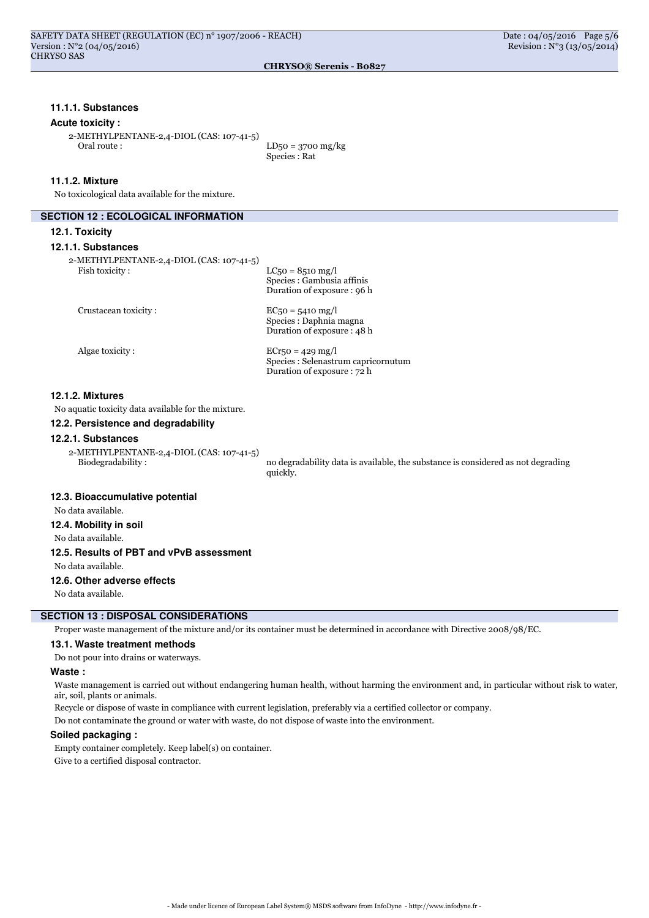### **11.1.1. Substances**

#### **Acute toxicity :**

2-METHYLPENTANE-2,4-DIOL (CAS: 107-41-5) Oral route : LD50 = 3700 mg/kg

Species : Rat

### **11.1.2. Mixture**

No toxicological data available for the mixture.

#### **SECTION 12 : ECOLOGICAL INFORMATION**

#### **12.1. Toxicity**

**12.1.1. Substances**

| 2-METHYLPENTANE-2,4-DIOL (CAS: 107-41-5) |                                                                                 |
|------------------------------------------|---------------------------------------------------------------------------------|
| Fish toxicity:                           | $LC50 = 8510$ mg/l<br>Species : Gambusia affinis<br>Duration of exposure : 96 h |
|                                          |                                                                                 |

Crustacean toxicity :  $EC_50 = 5410 \text{ mg/l}$ 

Species : Daphnia magna Duration of exposure : 48 h

Algae toxicity :  $ECr50 = 429 \text{ mg/l}$ Species : Selenastrum capricornutum Duration of exposure : 72 h

# **12.1.2. Mixtures**

No aquatic toxicity data available for the mixture.

### **12.2. Persistence and degradability**

# **12.2.1. Substances**

2-METHYLPENTANE-2,4-DIOL (CAS: 107-41-5)

no degradability data is available, the substance is considered as not degrading quickly.

# **12.3. Bioaccumulative potential**

No data available.

### **12.4. Mobility in soil**

No data available.

# **12.5. Results of PBT and vPvB assessment**

No data available.

#### **12.6. Other adverse effects**

No data available.

# **SECTION 13 : DISPOSAL CONSIDERATIONS**

Proper waste management of the mixture and/or its container must be determined in accordance with Directive 2008/98/EC.

#### **13.1. Waste treatment methods**

Do not pour into drains or waterways.

### **Waste :**

Waste management is carried out without endangering human health, without harming the environment and, in particular without risk to water, air, soil, plants or animals.

Recycle or dispose of waste in compliance with current legislation, preferably via a certified collector or company.

Do not contaminate the ground or water with waste, do not dispose of waste into the environment.

### **Soiled packaging :**

Empty container completely. Keep label(s) on container. Give to a certified disposal contractor.